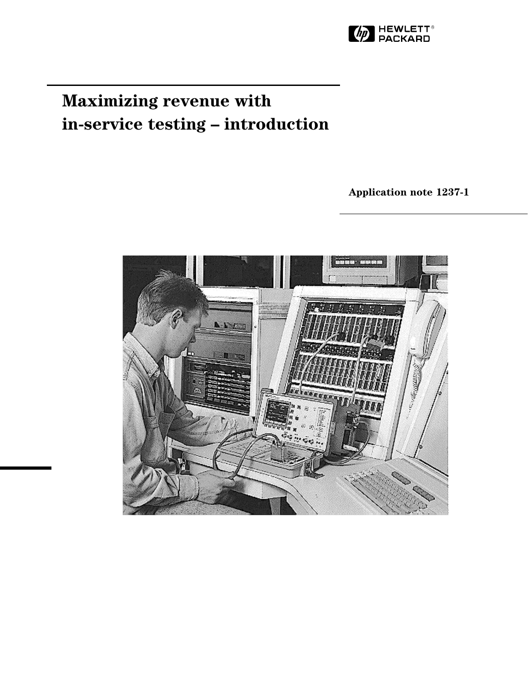

# **Maximizing revenue with in-service testing – introduction**

**Application note 1237-1**

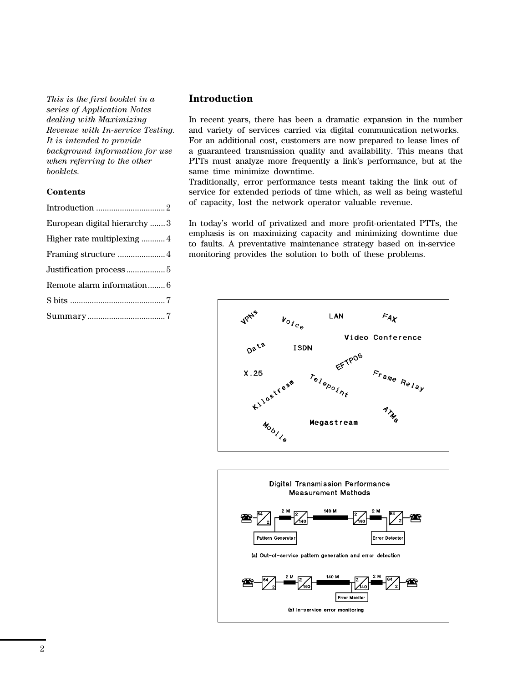*This is the first booklet in a series of Application Notes dealing with Maximizing Revenue with In-service Testing. It is intended to provide background information for use when referring to the other booklets.*

## **Contents**

| European digital hierarchy3 |
|-----------------------------|
| Higher rate multiplexing 4  |
|                             |
|                             |
| Remote alarm information 6  |
|                             |
|                             |
|                             |

## **Introduction**

In recent years, there has been a dramatic expansion in the number and variety of services carried via digital communication networks. For an additional cost, customers are now prepared to lease lines of a guaranteed transmission quality and availability. This means that PTTs must analyze more frequently a link's performance, but at the same time minimize downtime.

Traditionally, error performance tests meant taking the link out of service for extended periods of time which, as well as being wasteful of capacity, lost the network operator valuable revenue.

In today's world of privatized and more profit-orientated PTTs, the emphasis is on maximizing capacity and minimizing downtime due to faults. A preventative maintenance strategy based on in-service monitoring provides the solution to both of these problems.



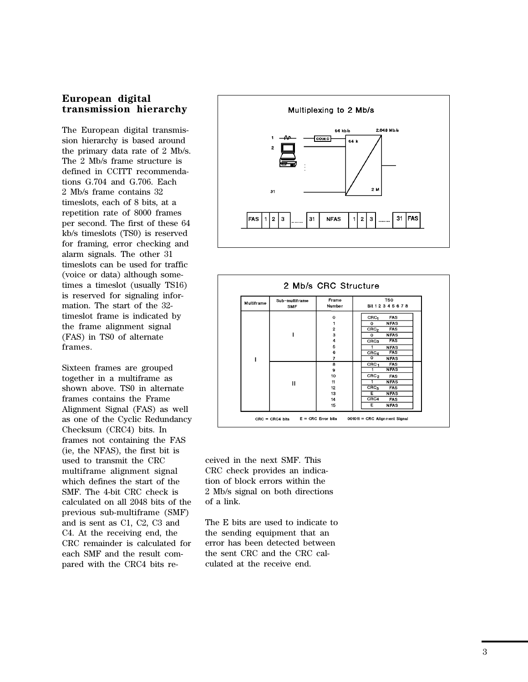## **European digital transmission hierarchy**

The European digital transmission hierarchy is based around the primary data rate of 2 Mb/s. The 2 Mb/s frame structure is defined in CCITT recommendations G.704 and G.706. Each 2 Mb/s frame contains 32 timeslots, each of 8 bits, at a repetition rate of 8000 frames per second. The first of these 64 kb/s timeslots (TS0) is reserved for framing, error checking and alarm signals. The other 31 timeslots can be used for traffic (voice or data) although sometimes a timeslot (usually TS16) is reserved for signaling information. The start of the 32 timeslot frame is indicated by the frame alignment signal (FAS) in TS0 of alternate frames.

Sixteen frames are grouped together in a multiframe as shown above. TS0 in alternate frames contains the Frame Alignment Signal (FAS) as well as one of the Cyclic Redundancy Checksum (CRC4) bits. In frames not containing the FAS (ie, the NFAS), the first bit is used to transmit the CRC multiframe alignment signal which defines the start of the SMF. The 4-bit CRC check is calculated on all 2048 bits of the previous sub-multiframe (SMF) and is sent as C1, C2, C3 and C4. At the receiving end, the CRC remainder is calculated for each SMF and the result compared with the CRC4 bits re-





ceived in the next SMF. This CRC check provides an indication of block errors within the 2 Mb/s signal on both directions of a link.

The E bits are used to indicate to the sending equipment that an error has been detected between the sent CRC and the CRC calculated at the receive end.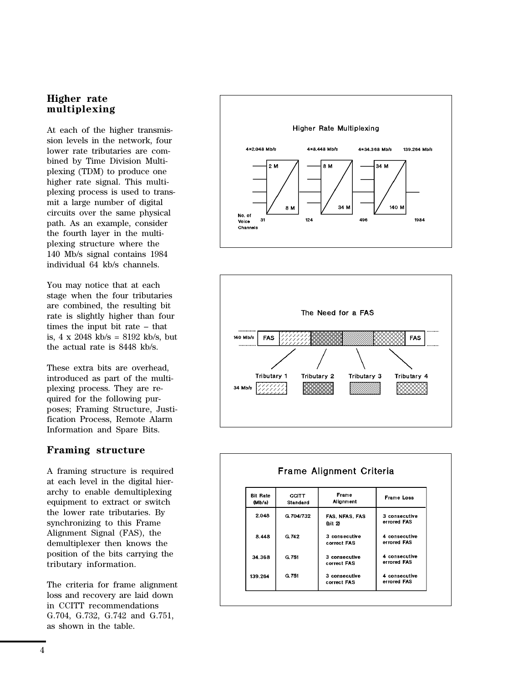## **Higher rate multiplexing**

At each of the higher transmission levels in the network, four lower rate tributaries are combined by Time Division Multiplexing (TDM) to produce one higher rate signal. This multiplexing process is used to transmit a large number of digital circuits over the same physical path. As an example, consider the fourth layer in the multiplexing structure where the 140 Mb/s signal contains 1984 individual 64 kb/s channels.

You may notice that at each stage when the four tributaries are combined, the resulting bit rate is slightly higher than four times the input bit rate – that is, 4 x 2048 kb/s = 8192 kb/s, but the actual rate is 8448 kb/s.

These extra bits are overhead, introduced as part of the multiplexing process. They are required for the following purposes; Framing Structure, Justification Process, Remote Alarm Information and Spare Bits.

## **Framing structure**

A framing structure is required at each level in the digital hierarchy to enable demultiplexing equipment to extract or switch the lower rate tributaries. By synchronizing to this Frame Alignment Signal (FAS), the demultiplexer then knows the position of the bits carrying the tributary information.

The criteria for frame alignment loss and recovery are laid down in CCITT recommendations G.704, G.732, G.742 and G.751, as shown in the table.

![](_page_3_Figure_7.jpeg)

![](_page_3_Figure_8.jpeg)

![](_page_3_Figure_9.jpeg)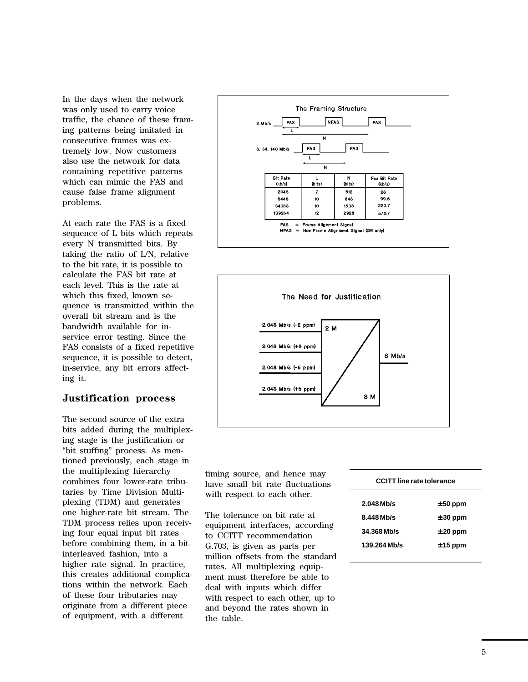In the days when the network was only used to carry voice traffic, the chance of these framing patterns being imitated in consecutive frames was extremely low. Now customers also use the network for data containing repetitive patterns which can mimic the FAS and cause false frame alignment problems.

At each rate the FAS is a fixed sequence of L bits which repeats every N transmitted bits. By taking the ratio of L/N, relative to the bit rate, it is possible to calculate the FAS bit rate at each level. This is the rate at which this fixed, known sequence is transmitted within the overall bit stream and is the bandwidth available for inservice error testing. Since the FAS consists of a fixed repetitive sequence, it is possible to detect, in-service, any bit errors affecting it.

## **Justification process**

The second source of the extra bits added during the multiplexing stage is the justification or "bit stuffing" process. As mentioned previously, each stage in the multiplexing hierarchy combines four lower-rate tributaries by Time Division Multiplexing (TDM) and generates one higher-rate bit stream. The TDM process relies upon receiving four equal input bit rates before combining them, in a bitinterleaved fashion, into a higher rate signal. In practice, this creates additional complications within the network. Each of these four tributaries may originate from a different piece of equipment, with a different

![](_page_4_Figure_4.jpeg)

![](_page_4_Figure_5.jpeg)

timing source, and hence may have small bit rate fluctuations with respect to each other.

The tolerance on bit rate at equipment interfaces, according to CCITT recommendation G.703, is given as parts per million offsets from the standard rates. All multiplexing equipment must therefore be able to deal with inputs which differ with respect to each other, up to and beyond the rates shown in the table.

| <b>CCITT line rate tolerance</b> |            |  |
|----------------------------------|------------|--|
| $2.048$ Mb/s                     | $± 50$ ppm |  |
| $8.448$ Mb/s                     | $± 30$ ppm |  |
| 34.368 Mb/s                      | $± 20$ ppm |  |
| 139.264 Mb/s                     | $± 15$ ppm |  |
|                                  |            |  |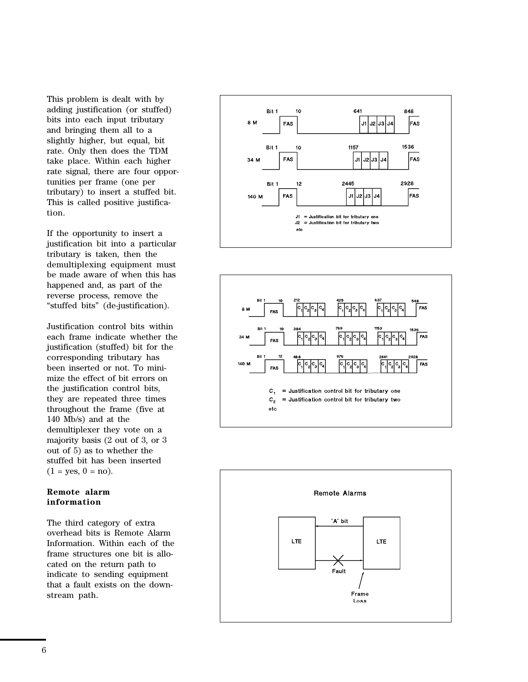This problem is dealt with by adding justification (or stuffed) bits into each input tributary and bringing them all to a slightly higher, but equal, bit rate. Only then does the TDM take place. Within each higher rate signal, there are four opportunities per frame (one per tributary) to insert a stuffed bit. This is called positive justification.

If the opportunity to insert a justification bit into a particular tributary is taken, then the demultiplexing equipment must be made aware of when this has happened and, as part of the reverse process, remove the "stuffed bits" (de-justification).

Justification control bits within each frame indicate whether the justification (stuffed) bit for the corresponding tributary has been inserted or not. To minimize the effect of bit errors on the justification control bits, they are repeated three times throughout the frame (five at 140 Mb/s) and at the demultiplexer they vote on a majority basis (2 out of 3, or 3 out of 5) as to whether the stuffed bit has been inserted  $(1 = yes, 0 = no).$ 

## **Remote alarm information**

The third category of extra overhead bits is Remote Alarm Information. Within each of the frame structures one bit is allocated on the return path to indicate to sending equipment that a fault exists on the downstream path.

![](_page_5_Figure_5.jpeg)

![](_page_5_Figure_6.jpeg)

![](_page_5_Figure_7.jpeg)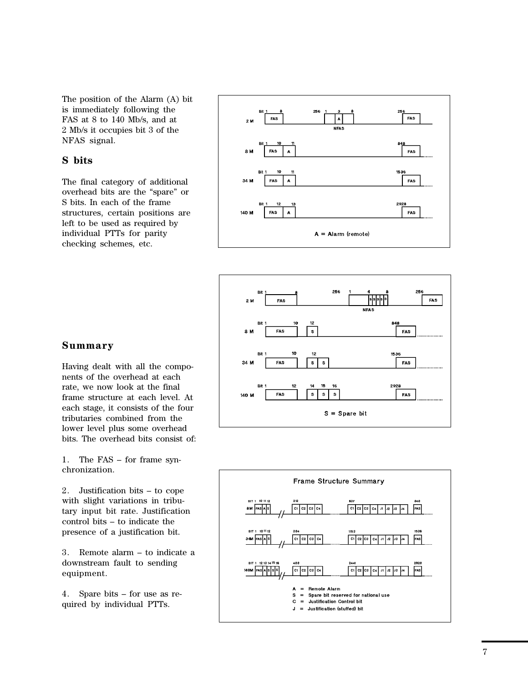The position of the Alarm (A) bit is immediately following the FAS at 8 to 140 Mb/s, and at 2 Mb/s it occupies bit 3 of the NFAS signal.

## **S bits**

The final category of additional overhead bits are the "spare" or S bits. In each of the frame structures, certain positions are left to be used as required by individual PTTs for parity checking schemes, etc.

![](_page_6_Figure_3.jpeg)

![](_page_6_Figure_4.jpeg)

![](_page_6_Figure_5.jpeg)

Having dealt with all the components of the overhead at each rate, we now look at the final frame structure at each level. At each stage, it consists of the four tributaries combined from the lower level plus some overhead bits. The overhead bits consist of:

1. The FAS – for frame synchronization.

2. Justification bits – to cope with slight variations in tributary input bit rate. Justification control bits – to indicate the presence of a justification bit.

3. Remote alarm – to indicate a downstream fault to sending equipment.

4. Spare bits – for use as required by individual PTTs.

![](_page_6_Figure_11.jpeg)